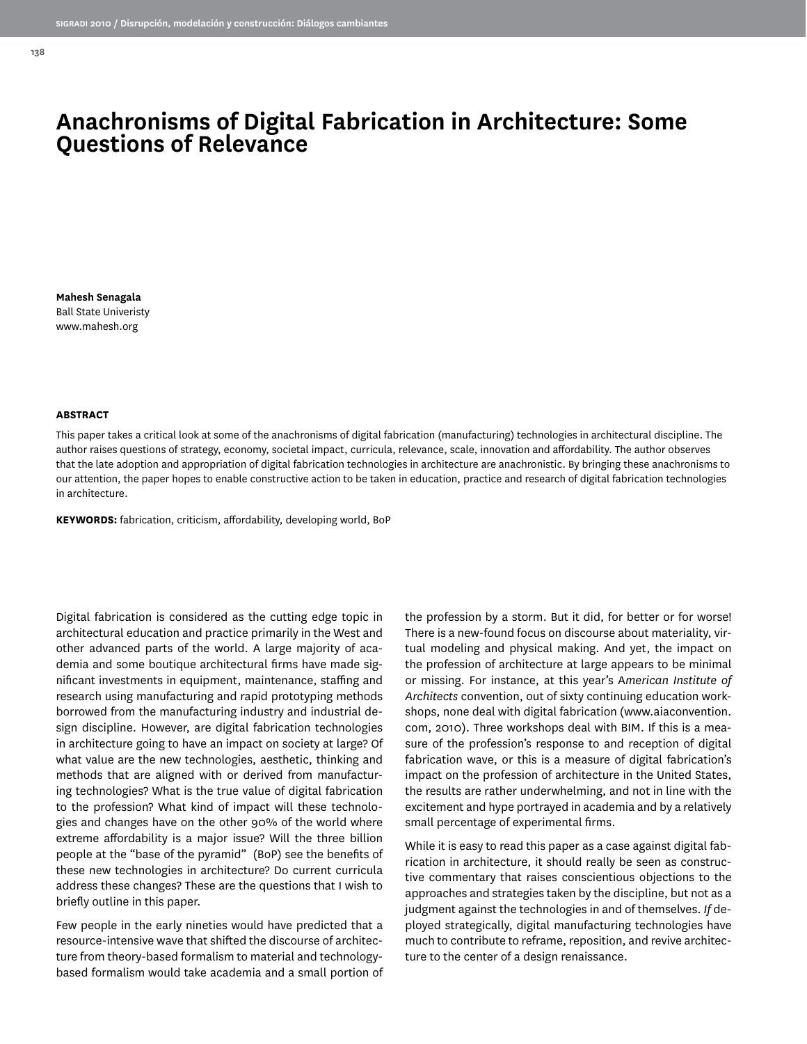# **Anachronisms of Digital Fabrication in Architecture: Some Questions of Relevance**

**Mahesh Senagala** Ball State Univeristy www.mahesh.org

#### **ABSTRACT**

This paper takes a critical look at some of the anachronisms of digital fabrication (manufacturing) technologies in architectural discipline. The author raises questions of strategy, economy, societal impact, curricula, relevance, scale, innovation and affordability. The author observes that the late adoption and appropriation of digital fabrication technologies in architecture are anachronistic. By bringing these anachronisms to our attention, the paper hopes to enable constructive action to be taken in education, practice and research of digital fabrication technologies in architecture.

**KEYWORDS:** fabrication, criticism, affordability, developing world, BoP

Digital fabrication is considered as the cutting edge topic in architectural education and practice primarily in the West and other advanced parts of the world. A large majority of academia and some boutique architectural firms have made significant investments in equipment, maintenance, staffing and research using manufacturing and rapid prototyping methods borrowed from the manufacturing industry and industrial design discipline. However, are digital fabrication technologies in architecture going to have an impact on society at large? Of what value are the new technologies, aesthetic, thinking and methods that are aligned with or derived from manufacturing technologies? What is the true value of digital fabrication to the profession? What kind of impact will these technologies and changes have on the other 90% of the world where extreme affordability is a major issue? Will the three billion people at the "base of the pyramid" (BoP) see the benefits of these new technologies in architecture? Do current curricula address these changes? These are the questions that I wish to briefly outline in this paper.

Few people in the early nineties would have predicted that a resource-intensive wave that shifted the discourse of architecture from theory-based formalism to material and technologybased formalism would take academia and a small portion of

the profession by a storm. But it did, for better or for worse! There is a new-found focus on discourse about materiality, virtual modeling and physical making. And yet, the impact on the profession of architecture at large appears to be minimal or missing. For instance, at this year's A*merican Institute of Architects* convention, out of sixty continuing education workshops, none deal with digital fabrication (www.aiaconvention. com, 2010). Three workshops deal with BIM. If this is a measure of the profession's response to and reception of digital fabrication wave, or this is a measure of digital fabrication's impact on the profession of architecture in the United States, the results are rather underwhelming, and not in line with the excitement and hype portrayed in academia and by a relatively small percentage of experimental firms.

While it is easy to read this paper as a case against digital fabrication in architecture, it should really be seen as constructive commentary that raises conscientious objections to the approaches and strategies taken by the discipline, but not as a judgment against the technologies in and of themselves. *If* deployed strategically, digital manufacturing technologies have much to contribute to reframe, reposition, and revive architecture to the center of a design renaissance.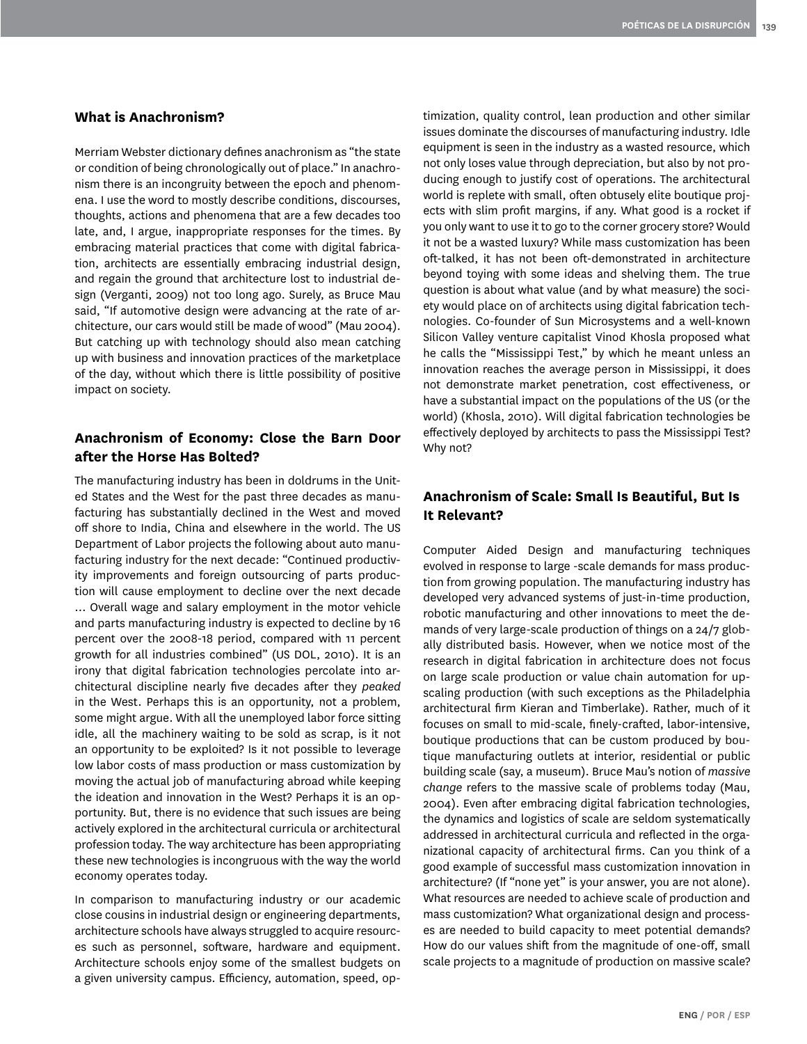## **What is Anachronism?**

Merriam Webster dictionary defines anachronism as "the state or condition of being chronologically out of place." In anachronism there is an incongruity between the epoch and phenomena. I use the word to mostly describe conditions, discourses, thoughts, actions and phenomena that are a few decades too late, and, I argue, inappropriate responses for the times. By embracing material practices that come with digital fabrication, architects are essentially embracing industrial design, and regain the ground that architecture lost to industrial design (Verganti, 2009) not too long ago. Surely, as Bruce Mau said, "If automotive design were advancing at the rate of architecture, our cars would still be made of wood" (Mau 2004). But catching up with technology should also mean catching up with business and innovation practices of the marketplace of the day, without which there is little possibility of positive impact on society.

## **Anachronism of Economy: Close the Barn Door after the Horse Has Bolted?**

The manufacturing industry has been in doldrums in the United States and the West for the past three decades as manufacturing has substantially declined in the West and moved off shore to India, China and elsewhere in the world. The US Department of Labor projects the following about auto manufacturing industry for the next decade: "Continued productivity improvements and foreign outsourcing of parts production will cause employment to decline over the next decade … Overall wage and salary employment in the motor vehicle and parts manufacturing industry is expected to decline by 16 percent over the 2008-18 period, compared with 11 percent growth for all industries combined" (US DOL, 2010). It is an irony that digital fabrication technologies percolate into architectural discipline nearly five decades after they *peaked*  in the West. Perhaps this is an opportunity, not a problem, some might argue. With all the unemployed labor force sitting idle, all the machinery waiting to be sold as scrap, is it not an opportunity to be exploited? Is it not possible to leverage low labor costs of mass production or mass customization by moving the actual job of manufacturing abroad while keeping the ideation and innovation in the West? Perhaps it is an opportunity. But, there is no evidence that such issues are being actively explored in the architectural curricula or architectural profession today. The way architecture has been appropriating these new technologies is incongruous with the way the world economy operates today.

In comparison to manufacturing industry or our academic close cousins in industrial design or engineering departments, architecture schools have always struggled to acquire resources such as personnel, software, hardware and equipment. Architecture schools enjoy some of the smallest budgets on a given university campus. Efficiency, automation, speed, optimization, quality control, lean production and other similar issues dominate the discourses of manufacturing industry. Idle equipment is seen in the industry as a wasted resource, which not only loses value through depreciation, but also by not producing enough to justify cost of operations. The architectural world is replete with small, often obtusely elite boutique projects with slim profit margins, if any. What good is a rocket if you only want to use it to go to the corner grocery store? Would it not be a wasted luxury? While mass customization has been oft-talked, it has not been oft-demonstrated in architecture beyond toying with some ideas and shelving them. The true question is about what value (and by what measure) the society would place on of architects using digital fabrication technologies. Co-founder of Sun Microsystems and a well-known Silicon Valley venture capitalist Vinod Khosla proposed what he calls the "Mississippi Test," by which he meant unless an innovation reaches the average person in Mississippi, it does not demonstrate market penetration, cost effectiveness, or have a substantial impact on the populations of the US (or the world) (Khosla, 2010). Will digital fabrication technologies be effectively deployed by architects to pass the Mississippi Test? Why not?

# **Anachronism of Scale: Small Is Beautiful, But Is It Relevant?**

Computer Aided Design and manufacturing techniques evolved in response to large -scale demands for mass production from growing population. The manufacturing industry has developed very advanced systems of just-in-time production, robotic manufacturing and other innovations to meet the demands of very large-scale production of things on a 24/7 globally distributed basis. However, when we notice most of the research in digital fabrication in architecture does not focus on large scale production or value chain automation for upscaling production (with such exceptions as the Philadelphia architectural firm Kieran and Timberlake). Rather, much of it focuses on small to mid-scale, finely-crafted, labor-intensive, boutique productions that can be custom produced by boutique manufacturing outlets at interior, residential or public building scale (say, a museum). Bruce Mau's notion of *massive change* refers to the massive scale of problems today (Mau, 2004). Even after embracing digital fabrication technologies, the dynamics and logistics of scale are seldom systematically addressed in architectural curricula and reflected in the organizational capacity of architectural firms. Can you think of a good example of successful mass customization innovation in architecture? (If "none yet" is your answer, you are not alone). What resources are needed to achieve scale of production and mass customization? What organizational design and processes are needed to build capacity to meet potential demands? How do our values shift from the magnitude of one-off, small scale projects to a magnitude of production on massive scale?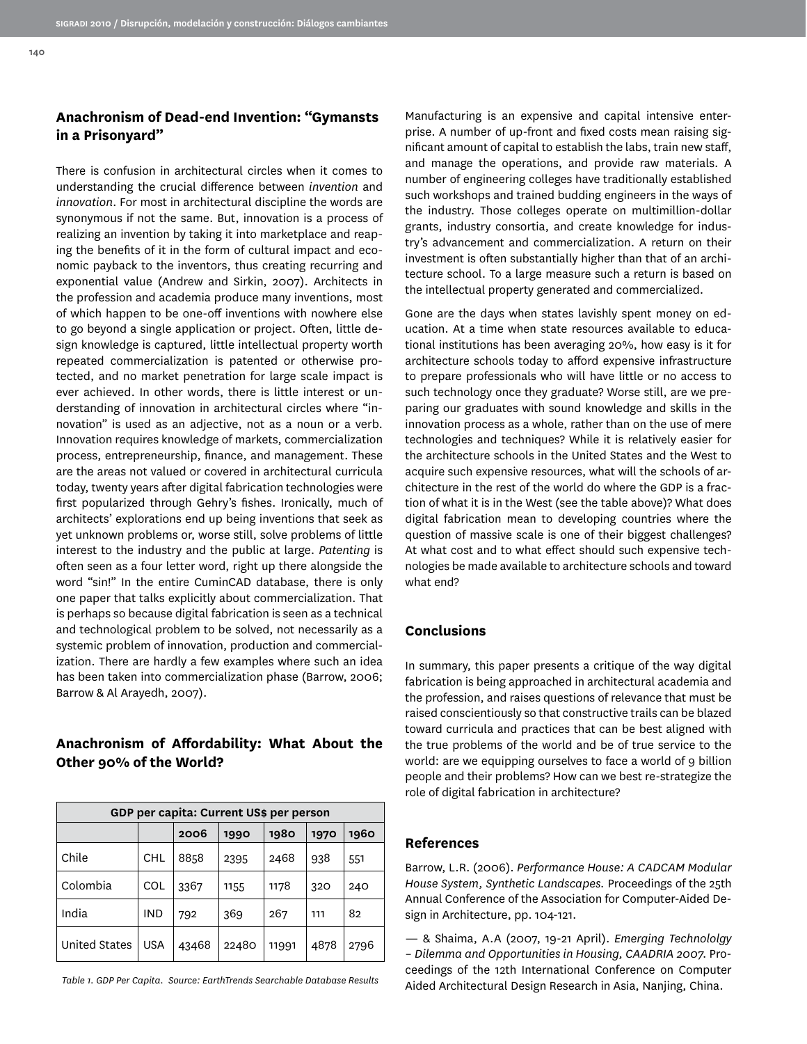There is confusion in architectural circles when it comes to understanding the crucial difference between *invention* and *innovation*. For most in architectural discipline the words are synonymous if not the same. But, innovation is a process of realizing an invention by taking it into marketplace and reaping the benefits of it in the form of cultural impact and economic payback to the inventors, thus creating recurring and exponential value (Andrew and Sirkin, 2007). Architects in the profession and academia produce many inventions, most of which happen to be one-off inventions with nowhere else to go beyond a single application or project. Often, little design knowledge is captured, little intellectual property worth repeated commercialization is patented or otherwise protected, and no market penetration for large scale impact is ever achieved. In other words, there is little interest or understanding of innovation in architectural circles where "innovation" is used as an adjective, not as a noun or a verb. Innovation requires knowledge of markets, commercialization process, entrepreneurship, finance, and management. These are the areas not valued or covered in architectural curricula today, twenty years after digital fabrication technologies were first popularized through Gehry's fishes. Ironically, much of architects' explorations end up being inventions that seek as yet unknown problems or, worse still, solve problems of little interest to the industry and the public at large. *Patenting* is often seen as a four letter word, right up there alongside the word "sin!" In the entire CuminCAD database, there is only one paper that talks explicitly about commercialization. That is perhaps so because digital fabrication is seen as a technical and technological problem to be solved, not necessarily as a systemic problem of innovation, production and commercialization. There are hardly a few examples where such an idea has been taken into commercialization phase (Barrow, 2006; Barrow & Al Arayedh, 2007).

# **Anachronism of Affordability: What About the Other 90% of the World?**

| GDP per capita: Current US\$ per person |            |       |       |       |      |      |
|-----------------------------------------|------------|-------|-------|-------|------|------|
|                                         |            | 2006  | 1990  | 1980  | 1970 | 1960 |
| Chile                                   | <b>CHL</b> | 8858  | 2395  | 2468  | 938  | 551  |
| Colombia                                | COL        | 3367  | 1155  | 1178  | 320  | 240  |
| India                                   | <b>IND</b> | 792   | 369   | 267   | 111  | 82   |
| United States                           | <b>USA</b> | 43468 | 22480 | 11991 | 4878 | 2796 |

*Table 1. GDP Per Capita. Source: EarthTrends Searchable Database Results*

Manufacturing is an expensive and capital intensive enterprise. A number of up-front and fixed costs mean raising significant amount of capital to establish the labs, train new staff, and manage the operations, and provide raw materials. A number of engineering colleges have traditionally established such workshops and trained budding engineers in the ways of the industry. Those colleges operate on multimillion-dollar grants, industry consortia, and create knowledge for industry's advancement and commercialization. A return on their investment is often substantially higher than that of an architecture school. To a large measure such a return is based on the intellectual property generated and commercialized.

Gone are the days when states lavishly spent money on education. At a time when state resources available to educational institutions has been averaging 20%, how easy is it for architecture schools today to afford expensive infrastructure to prepare professionals who will have little or no access to such technology once they graduate? Worse still, are we preparing our graduates with sound knowledge and skills in the innovation process as a whole, rather than on the use of mere technologies and techniques? While it is relatively easier for the architecture schools in the United States and the West to acquire such expensive resources, what will the schools of architecture in the rest of the world do where the GDP is a fraction of what it is in the West (see the table above)? What does digital fabrication mean to developing countries where the question of massive scale is one of their biggest challenges? At what cost and to what effect should such expensive technologies be made available to architecture schools and toward what end?

### **Conclusions**

In summary, this paper presents a critique of the way digital fabrication is being approached in architectural academia and the profession, and raises questions of relevance that must be raised conscientiously so that constructive trails can be blazed toward curricula and practices that can be best aligned with the true problems of the world and be of true service to the world: are we equipping ourselves to face a world of 9 billion people and their problems? How can we best re-strategize the role of digital fabrication in architecture?

#### **References**

Barrow, L.R. (2006). *Performance House: A CADCAM Modular House System, Synthetic Landscapes.* Proceedings of the 25th Annual Conference of the Association for Computer-Aided Design in Architecture, pp. 104-121.

— & Shaima, A.A (2007, 19-21 April). *Emerging Technololgy – Dilemma and Opportunities in Housing, CAADRIA 2007.* Proceedings of the 12th International Conference on Computer Aided Architectural Design Research in Asia, Nanjing, China.